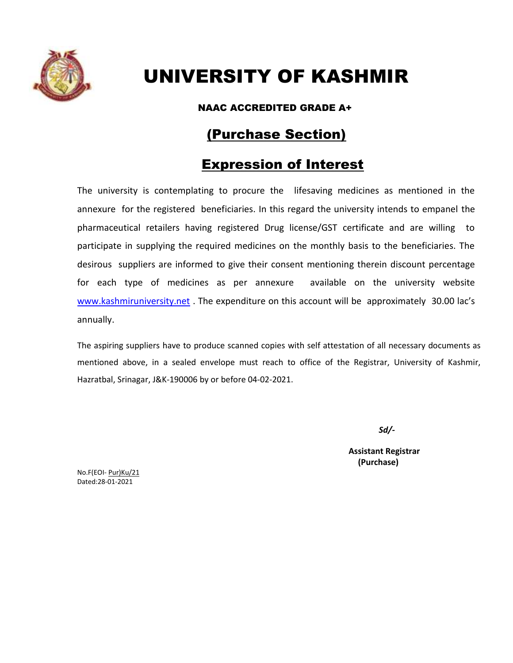

## UNIVERSITY OF KASHMIR

NAAC ACCREDITED GRADE A+

## (Purchase Section)

## Expression of Interest

The university is contemplating to procure the lifesaving medicines as mentioned in the annexure for the registered beneficiaries. In this regard the university intends to empanel the pharmaceutical retailers having registered Drug license/GST certificate and are willing to participate in supplying the required medicines on the monthly basis to the beneficiaries. The desirous suppliers are informed to give their consent mentioning therein discount percentage for each type of medicines as per annexure available on the university website [www.kashmiruniversity.net](http://www.kashmiruniversity.net/). The expenditure on this account will be approximately 30.00 lac's annually.

The aspiring suppliers have to produce scanned copies with self attestation of all necessary documents as mentioned above, in a sealed envelope must reach to office of the Registrar, University of Kashmir, Hazratbal, Srinagar, J&K-190006 by or before 04-02-2021.

*Sd/-*

**Assistant Registrar (Purchase)**

No.F(EOI- Pur)Ku/21 Dated:28-01-2021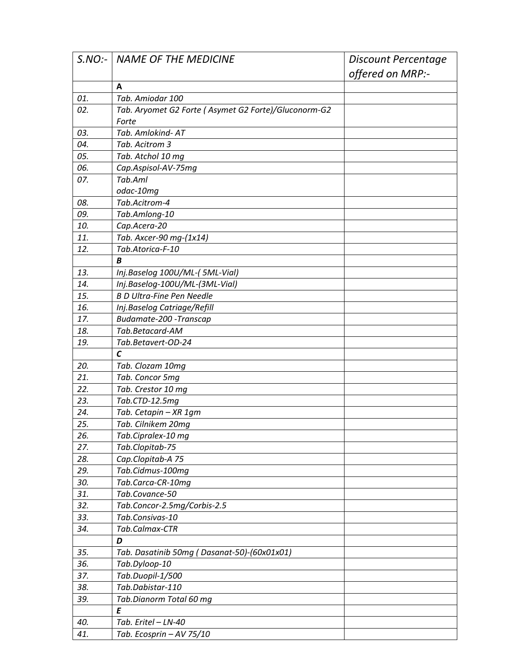| S.NO: | <b>NAME OF THE MEDICINE</b>                          | Discount Percentage |
|-------|------------------------------------------------------|---------------------|
|       |                                                      | offered on MRP:-    |
|       | A                                                    |                     |
| 01.   | Tab. Amiodar 100                                     |                     |
| 02.   | Tab. Aryomet G2 Forte (Asymet G2 Forte)/Gluconorm-G2 |                     |
|       | Forte                                                |                     |
| 03.   | Tab. Amlokind- AT                                    |                     |
| 04.   | Tab. Acitrom 3                                       |                     |
| 05.   | Tab. Atchol 10 mg                                    |                     |
| 06.   | Cap.Aspisol-AV-75mg                                  |                     |
| 07.   | Tab.Aml                                              |                     |
|       | odac-10mg                                            |                     |
| 08.   | Tab.Acitrom-4                                        |                     |
| 09.   | Tab.Amlong-10                                        |                     |
| 10.   | Cap.Acera-20                                         |                     |
| 11.   | Tab. Axcer-90 mg-(1x14)                              |                     |
| 12.   | Tab.Atorica-F-10                                     |                     |
|       | В                                                    |                     |
| 13.   | Inj.Baselog 100U/ML-(5ML-Vial)                       |                     |
| 14.   | Inj.Baselog-100U/ML-(3ML-Vial)                       |                     |
| 15.   | <b>B D Ultra-Fine Pen Needle</b>                     |                     |
| 16.   | Inj.Baselog Catriage/Refill                          |                     |
| 17.   | Budamate-200 - Transcap                              |                     |
| 18.   | Tab.Betacard-AM                                      |                     |
| 19.   | Tab.Betavert-OD-24                                   |                     |
|       | $\mathcal{C}$                                        |                     |
| 20.   | Tab. Clozam 10mg                                     |                     |
| 21.   | Tab. Concor 5mg                                      |                     |
| 22.   | Tab. Crestor 10 mg                                   |                     |
| 23.   | Tab.CTD-12.5mg                                       |                     |
| 24.   | Tab. Cetapin - XR 1gm                                |                     |
| 25.   | Tab. Cilnikem 20mg                                   |                     |
| 26.   | Tab.Cipralex-10 mg                                   |                     |
| 27.   | Tab.Clopitab-75                                      |                     |
| 28.   | Cap.Clopitab-A 75                                    |                     |
| 29.   | Tab.Cidmus-100mg                                     |                     |
| 30.   | Tab.Carca-CR-10mg                                    |                     |
| 31.   | Tab.Covance-50                                       |                     |
| 32.   | Tab.Concor-2.5mg/Corbis-2.5                          |                     |
| 33.   | Tab.Consivas-10                                      |                     |
| 34.   | Tab.Calmax-CTR                                       |                     |
|       | D                                                    |                     |
| 35.   | Tab. Dasatinib 50mg (Dasanat-50)-(60x01x01)          |                     |
| 36.   | Tab.Dyloop-10                                        |                     |
| 37.   | Tab.Duopil-1/500                                     |                     |
| 38.   | Tab.Dabistar-110                                     |                     |
| 39.   | Tab.Dianorm Total 60 mg                              |                     |
|       | E                                                    |                     |
| 40.   | Tab. Eritel - LN-40                                  |                     |
| 41.   | Tab. Ecosprin - AV 75/10                             |                     |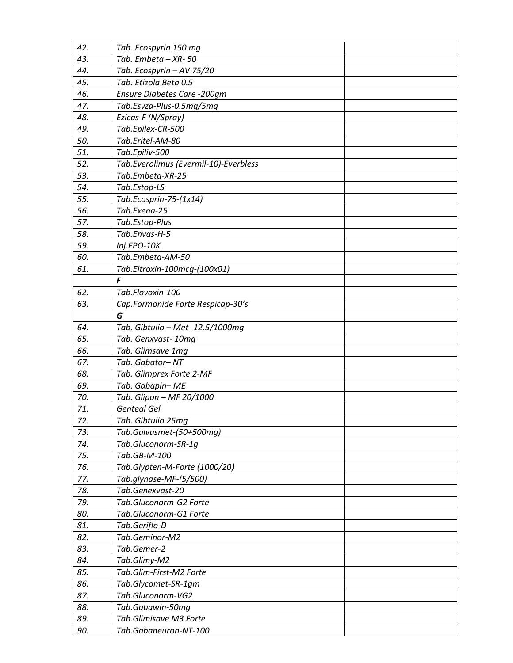| 42. | Tab. Ecospyrin 150 mg                 |  |
|-----|---------------------------------------|--|
| 43. | Tab. Embeta - XR-50                   |  |
| 44. | Tab. Ecospyrin - AV 75/20             |  |
| 45. | Tab. Etizola Beta 0.5                 |  |
| 46. | Ensure Diabetes Care -200gm           |  |
| 47. | Tab.Esyza-Plus-0.5mg/5mg              |  |
| 48. | Ezicas-F (N/Spray)                    |  |
| 49. | Tab.Epilex-CR-500                     |  |
| 50. | Tab.Eritel-AM-80                      |  |
| 51. | Tab.Epiliv-500                        |  |
| 52. | Tab.Everolimus (Evermil-10)-Everbless |  |
| 53. | Tab.Embeta-XR-25                      |  |
| 54. | Tab.Estop-LS                          |  |
| 55. | Tab.Ecosprin-75-(1x14)                |  |
| 56. | Tab.Exena-25                          |  |
| 57. | Tab.Estop-Plus                        |  |
| 58. | Tab.Envas-H-5                         |  |
| 59. | Inj.EPO-10K                           |  |
| 60. | Tab.Embeta-AM-50                      |  |
| 61. | Tab.Eltroxin-100mcg-(100x01)          |  |
|     | F                                     |  |
| 62. | Tab.Flovoxin-100                      |  |
| 63. | Cap.Formonide Forte Respicap-30's     |  |
|     | G                                     |  |
| 64. | Tab. Gibtulio - Met- 12.5/1000mg      |  |
| 65. | Tab. Genxvast-10mg                    |  |
| 66. | Tab. Glimsave 1mg                     |  |
| 67. | Tab. Gabator-NT                       |  |
| 68. | Tab. Glimprex Forte 2-MF              |  |
| 69. | Tab. Gabapin-ME                       |  |
| 70. | Tab. Glipon - MF 20/1000              |  |
| 71. | <b>Genteal Gel</b>                    |  |
| 72. | Tab. Gibtulio 25mg                    |  |
| 73. | Tab.Galvasmet-(50+500mq)              |  |
| 74. | Tab.Gluconorm-SR-1g                   |  |
| 75. | Tab.GB-M-100                          |  |
| 76. | Tab.Glypten-M-Forte (1000/20)         |  |
| 77. | Tab.glynase-MF-(5/500)                |  |
| 78. | Tab.Genexvast-20                      |  |
| 79. | Tab.Gluconorm-G2 Forte                |  |
| 80. | Tab.Gluconorm-G1 Forte                |  |
| 81. | Tab.Geriflo-D                         |  |
| 82. | Tab.Geminor-M2                        |  |
| 83. | Tab.Gemer-2                           |  |
| 84. | Tab.Glimy-M2                          |  |
| 85. | Tab.Glim-First-M2 Forte               |  |
| 86. | Tab.Glycomet-SR-1gm                   |  |
| 87. | Tab.Gluconorm-VG2                     |  |
| 88. | Tab.Gabawin-50mg                      |  |
| 89. | Tab.Glimisave M3 Forte                |  |
| 90. | Tab.Gabaneuron-NT-100                 |  |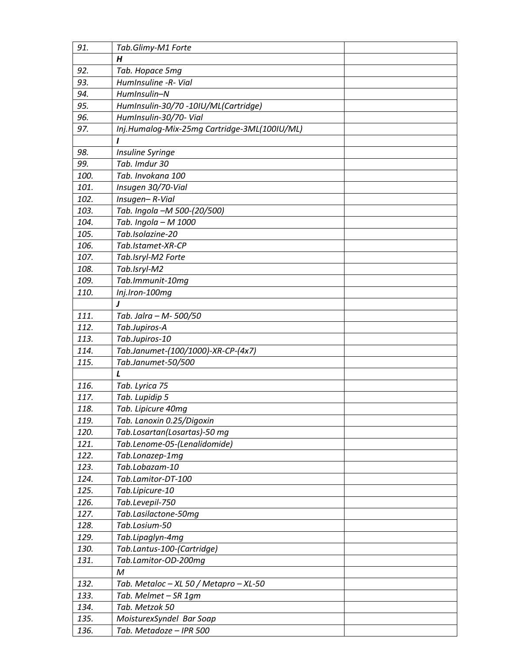| 91.  | Tab.Glimy-M1 Forte                           |  |
|------|----------------------------------------------|--|
|      | Н                                            |  |
| 92.  | Tab. Hopace 5mg                              |  |
| 93.  | HumInsuline -R- Vial                         |  |
| 94.  | HumInsulin-N                                 |  |
| 95.  | HumInsulin-30/70 -10IU/ML(Cartridge)         |  |
| 96.  | HumInsulin-30/70- Vial                       |  |
| 97.  | Inj.Humalog-Mix-25mg Cartridge-3ML(100IU/ML) |  |
|      |                                              |  |
| 98.  | Insuline Syringe                             |  |
| 99.  | Tab. Imdur 30                                |  |
| 100. | Tab. Invokana 100                            |  |
| 101. | Insugen 30/70-Vial                           |  |
| 102. | Insugen-R-Vial                               |  |
| 103. | Tab. Ingola -M 500-(20/500)                  |  |
| 104. | Tab. Ingola - M 1000                         |  |
| 105. | Tab.Isolazine-20                             |  |
| 106. | Tab.Istamet-XR-CP                            |  |
| 107. | Tab.Isryl-M2 Forte                           |  |
| 108. | Tab.Isryl-M2                                 |  |
| 109. | Tab.Immunit-10mq                             |  |
| 110. | Inj.Iron-100mg                               |  |
|      | J                                            |  |
| 111. | Tab. Jalra - M- 500/50                       |  |
| 112. | Tab.Jupiros-A                                |  |
| 113. | Tab.Jupiros-10                               |  |
| 114. | Tab.Janumet-(100/1000)-XR-CP-(4x7)           |  |
| 115. | Tab.Janumet-50/500                           |  |
|      | L                                            |  |
| 116. | Tab. Lyrica 75                               |  |
| 117. | Tab. Lupidip 5                               |  |
| 118. | Tab. Lipicure 40mg                           |  |
| 119. | Tab. Lanoxin 0.25/Digoxin                    |  |
| 120. | Tab.Losartan(Losartas)-50 mg                 |  |
| 121. | Tab.Lenome-05-(Lenalidomide)                 |  |
| 122. | Tab.Lonazep-1mg                              |  |
| 123. | Tab.Lobazam-10                               |  |
| 124. | Tab.Lamitor-DT-100                           |  |
| 125. | Tab.Lipicure-10                              |  |
| 126. | Tab.Levepil-750                              |  |
| 127. | Tab.Lasilactone-50mg                         |  |
| 128. | Tab.Losium-50                                |  |
| 129. | Tab.Lipaglyn-4mg                             |  |
| 130. | Tab.Lantus-100-(Cartridge)                   |  |
| 131. | Tab.Lamitor-OD-200mg                         |  |
|      | M                                            |  |
| 132. | Tab. Metaloc - XL 50 / Metapro - XL-50       |  |
| 133. | Tab. Melmet - SR 1gm                         |  |
| 134. | Tab. Metzok 50                               |  |
| 135. | MoisturexSyndel Bar Soap                     |  |
| 136. | Tab. Metadoze - IPR 500                      |  |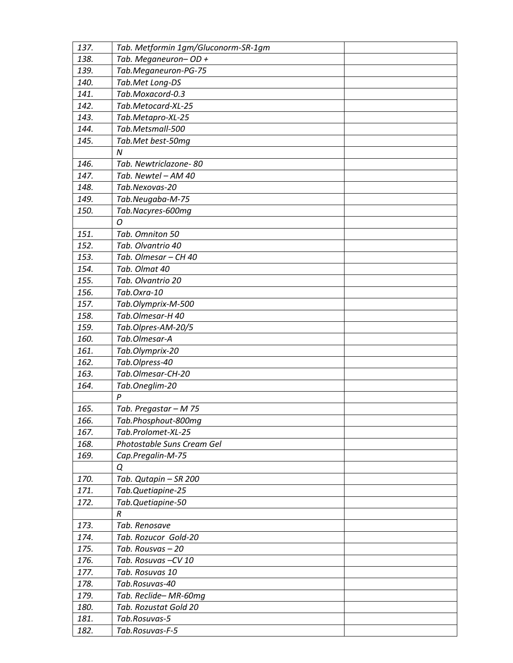| 137. | Tab. Metformin 1gm/Gluconorm-SR-1gm |
|------|-------------------------------------|
| 138. | Tab. Meganeuron-OD +                |
| 139. | Tab.Meganeuron-PG-75                |
| 140. | Tab.Met Long-DS                     |
| 141. | Tab.Moxacord-0.3                    |
| 142. | Tab.Metocard-XL-25                  |
| 143. | Tab.Metapro-XL-25                   |
| 144. | Tab.Metsmall-500                    |
| 145. | Tab.Met best-50mg                   |
|      | N                                   |
| 146. | Tab. Newtriclazone-80               |
| 147. | Tab. Newtel - AM 40                 |
| 148. | Tab.Nexovas-20                      |
| 149. | Tab.Neugaba-M-75                    |
| 150. | Tab.Nacyres-600mg                   |
|      | O                                   |
| 151. | Tab. Omniton 50                     |
| 152. | Tab. Olvantrio 40                   |
| 153. | Tab. Olmesar - CH 40                |
| 154. | Tab. Olmat 40                       |
| 155. | Tab. Olvantrio 20                   |
| 156. | Tab.Oxra-10                         |
| 157. | Tab.Olymprix-M-500                  |
| 158. | Tab.Olmesar-H 40                    |
| 159. | Tab.Olpres-AM-20/5                  |
| 160. | Tab.Olmesar-A                       |
| 161. | Tab.Olymprix-20                     |
| 162. | Tab.Olpress-40                      |
| 163. | Tab.Olmesar-CH-20                   |
| 164. | Tab.Oneglim-20                      |
|      | $\boldsymbol{P}$                    |
| 165. | Tab. Pregastar - M 75               |
| 166. | Tab.Phosphout-800mg                 |
| 167. | Tab.Prolomet-XL-25                  |
| 168. | Photostable Suns Cream Gel          |
| 169. | Cap.Pregalin-M-75                   |
|      | Q                                   |
| 170. | Tab. Qutapin - SR 200               |
| 171. | Tab.Quetiapine-25                   |
| 172. | Tab.Quetiapine-50                   |
|      | R                                   |
| 173. | Tab. Renosave                       |
| 174. | Tab. Rozucor Gold-20                |
| 175. | Tab. Rousvas - 20                   |
| 176. | Tab. Rosuvas-CV 10                  |
| 177. | Tab. Rosuvas 10                     |
| 178. | Tab.Rosuvas-40                      |
| 179. | Tab. Reclide-MR-60mg                |
| 180. | Tab. Rozustat Gold 20               |
| 181. | Tab.Rosuvas-5                       |
| 182. | Tab.Rosuvas-F-5                     |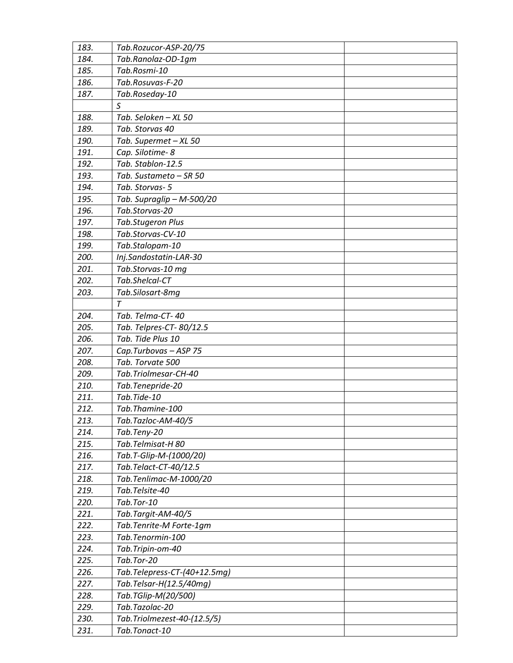| 183.         | Tab.Rozucor-ASP-20/75                           |
|--------------|-------------------------------------------------|
| 184.         | Tab.Ranolaz-OD-1gm                              |
| 185.         | Tab.Rosmi-10                                    |
| 186.         | Tab.Rosuvas-F-20                                |
| 187.         | Tab.Roseday-10                                  |
|              | S                                               |
| 188.         | Tab. Seloken - XL 50                            |
| 189.         | Tab. Storvas 40                                 |
| 190.         | Tab. Supermet - XL 50                           |
| 191.         | Cap. Silotime- 8                                |
| 192.         | Tab. Stablon-12.5                               |
| 193.         | Tab. Sustameto - SR 50                          |
| 194.         | Tab. Storvas-5                                  |
| 195.         | Tab. Supraglip - M-500/20                       |
| 196.         | Tab.Storvas-20                                  |
| 197.         | Tab.Stugeron Plus                               |
| 198.         | Tab.Storvas-CV-10                               |
| 199.         | Tab.Stalopam-10                                 |
| 200.         | Inj.Sandostatin-LAR-30                          |
| 201.         | Tab.Storvas-10 mg                               |
| 202.         | Tab.Shelcal-CT                                  |
| 203.         | Tab.Silosart-8mg                                |
|              | $\tau$                                          |
| 204.         | Tab. Telma-CT-40                                |
| 205.         | Tab. Telpres-CT-80/12.5                         |
| 206.         | Tab. Tide Plus 10                               |
|              |                                                 |
|              |                                                 |
| 207.         | Cap.Turbovas - ASP 75<br>Tab. Torvate 500       |
| 208.<br>209. | Tab.Triolmesar-CH-40                            |
| 210.         |                                                 |
| 211.         | Tab.Tenepride-20<br>Tab.Tide-10                 |
| 212.         | Tab.Thamine-100                                 |
| 213.         |                                                 |
| 214.         | Tab.Tazloc-AM-40/5<br>Tab.Teny-20               |
| 215.         | Tab.Telmisat-H 80                               |
| 216.         |                                                 |
| 217.         | Tab.T-Glip-M-(1000/20)<br>Tab.Telact-CT-40/12.5 |
|              |                                                 |
| 218.<br>219. | Tab.Tenlimac-M-1000/20<br>Tab.Telsite-40        |
| 220.         | Tab.Tor-10                                      |
|              |                                                 |
| 221.         | Tab.Targit-AM-40/5                              |
| 222.         | Tab.Tenrite-M Forte-1gm                         |
| 223.         | Tab.Tenormin-100                                |
| 224.         | Tab.Tripin-om-40<br>Tab.Tor-20                  |
| 225.<br>226. | Tab.Telepress-CT-(40+12.5mg)                    |
| 227.         | Tab.Telsar-H(12.5/40mg)                         |
| 228.         | Tab.TGlip-M(20/500)                             |
| 229.         | Tab.Tazolac-20                                  |
| 230.         | Tab.Triolmezest-40-(12.5/5)                     |
| 231.         | Tab.Tonact-10                                   |